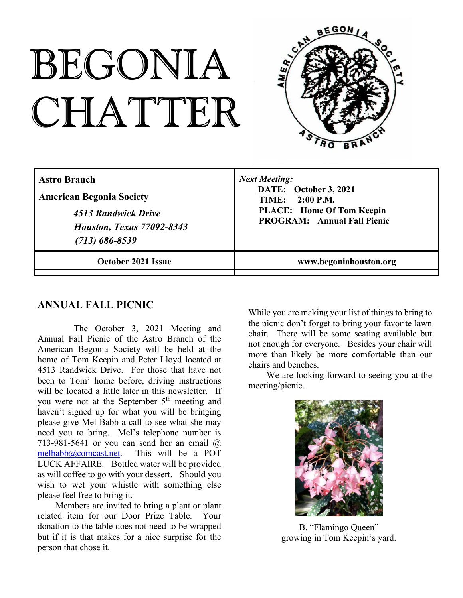# BEGONIA CHATTER



| <b>Astro Branch</b>              | <b>Next Meeting:</b>               |
|----------------------------------|------------------------------------|
| <b>American Begonia Society</b>  | DATE: October 3, 2021              |
| 4513 Randwick Drive              | <b>TIME:</b> 2:00 P.M.             |
| <b>Houston, Texas 77092-8343</b> | <b>PLACE:</b> Home Of Tom Keepin   |
| $(713) 686 - 8539$               | <b>PROGRAM:</b> Annual Fall Picnic |
| <b>October 2021 Issue</b>        | www.begoniahouston.org             |

## **ANNUAL FALL PICNIC**

The October 3, 2021 Meeting and Annual Fall Picnic of the Astro Branch of the American Begonia Society will be held at the home of Tom Keepin and Peter Lloyd located at 4513 Randwick Drive. For those that have not been to Tom' home before, driving instructions will be located a little later in this newsletter. If you were not at the September 5<sup>th</sup> meeting and haven't signed up for what you will be bringing please give Mel Babb a call to see what she may need you to bring. Mel's telephone number is 713-981-5641 or you can send her an email  $\omega$ melbabb@comcast.net. This will be a POT LUCK AFFAIRE. Bottled water will be provided as will coffee to go with your dessert. Should you wish to wet your whistle with something else please feel free to bring it.

Members are invited to bring a plant or plant related item for our Door Prize Table. Your donation to the table does not need to be wrapped but if it is that makes for a nice surprise for the person that chose it.

While you are making your list of things to bring to the picnic don't forget to bring your favorite lawn chair. There will be some seating available but not enough for everyone. Besides your chair will more than likely be more comfortable than our chairs and benches.

We are looking forward to seeing you at the meeting/picnic.



B. "Flamingo Queen" growing in Tom Keepin's yard.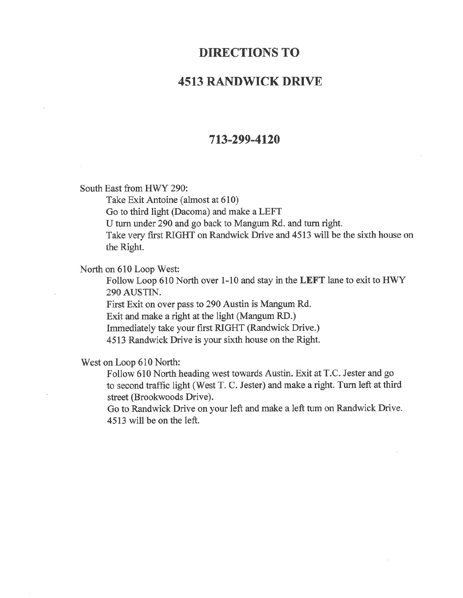# **DIRECTIONS TO**

## **4513 RANDWICK DRIVE**

#### 713-299-4120

South East from HWY 290:

Take Exit Antoine (almost at 610)

Go to third light (Dacoma) and make a LEFT

U turn under 290 and go back to Mangum Rd. and turn right.

Take very first RIGHT on Randwick Drive and 4513 will be the sixth house on the Right.

North on 610 Loop West:

Follow Loop 610 North over 1-10 and stay in the LEFT lane to exit to HWY 290 AUSTIN.

First Exit on over pass to 290 Austin is Mangum Rd. Exit and make a right at the light (Mangum RD.)

Immediately take your first RIGHT (Randwick Drive.)

4513 Randwick Drive is your sixth house on the Right.

West on Loop 610 North:

Follow 610 North heading west towards Austin. Exit at T.C. Jester and go to second traffic light (West T. C. Jester) and make a right. Turn left at third street (Brookwoods Drive).

Go to Randwick Drive on your left and make a left tum on Randwick Drive. 4513 will be on the left.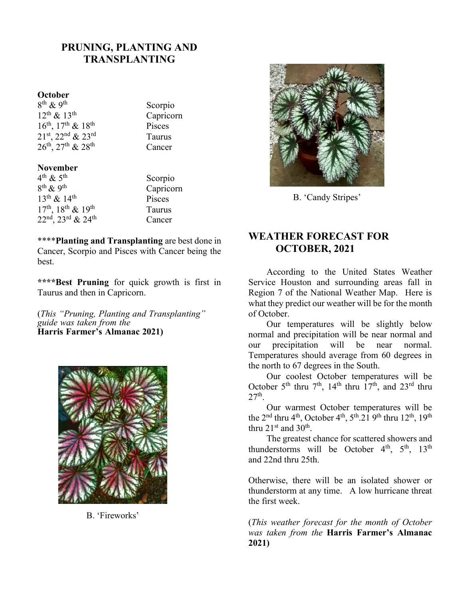## **PRUNING, PLANTING AND TRANSPLANTING**

#### **October**

 $8^{th}$  & 9<sup>th</sup>  $12^{\text{th}} \& 13^{\text{th}}$  Capricorn  $16^{th}$ ,  $17^{th}$  &  $18^{th}$  Pisces  $21<sup>st</sup>$ ,  $22<sup>nd</sup>$  &  $23<sup>rd</sup>$  Taurus  $26<sup>th</sup>$ ,  $27<sup>th</sup>$  &  $28<sup>th</sup>$  Cancer

#### **November**

 $4^{\text{th}} \& 5^{\text{th}}$  $8^{\text{th}}\,\text{\&}\,9^{\text{th}}$  $13<sup>th</sup> \& 14<sup>th</sup>$  Pisces  $17<sup>th</sup>$ ,  $18<sup>th</sup>$  &  $19<sup>th</sup>$  Taurus  $22<sup>nd</sup>$ ,  $23<sup>rd</sup>$  &  $24<sup>th</sup>$  Cancer

Scorpio

Scorpio Capricorn

\*\*\*\***Planting and Transplanting** are best done in Cancer, Scorpio and Pisces with Cancer being the best.

**\*\*\*\*Best Pruning** for quick growth is first in Taurus and then in Capricorn.

(*This "Pruning, Planting and Transplanting" guide was taken from the* **Harris Farmer's Almanac 2021)**



B. 'Fireworks'



B. 'Candy Stripes'

### **WEATHER FORECAST FOR OCTOBER, 2021**

According to the United States Weather Service Houston and surrounding areas fall in Region 7 of the National Weather Map. Here is what they predict our weather will be for the month of October.

Our temperatures will be slightly below normal and precipitation will be near normal and our precipitation will be near normal. Temperatures should average from 60 degrees in the north to 67 degrees in the South.

Our coolest October temperatures will be October 5<sup>th</sup> thru  $7<sup>th</sup>$ , 14<sup>th</sup> thru  $17<sup>th</sup>$ , and 23<sup>rd</sup> thru  $27<sup>th</sup>$ .

Our warmest October temperatures will be the  $2<sup>nd</sup>$  thru  $4<sup>th</sup>$ , October  $4<sup>th</sup>$ ,  $5<sup>th</sup>$ .  $21$   $9<sup>th</sup>$  thru  $12<sup>th</sup>$ ,  $19<sup>th</sup>$ thru 21 $^{\rm st}$  and 30 $^{\rm th}$ .

The greatest chance for scattered showers and thunderstorms will be October  $4<sup>th</sup>$ ,  $5<sup>th</sup>$ ,  $13<sup>th</sup>$ and 22nd thru 25th.

Otherwise, there will be an isolated shower or thunderstorm at any time. A low hurricane threat the first week.

(*This weather forecast for the month of October was taken from the* **Harris Farmer's Almanac 2021)**